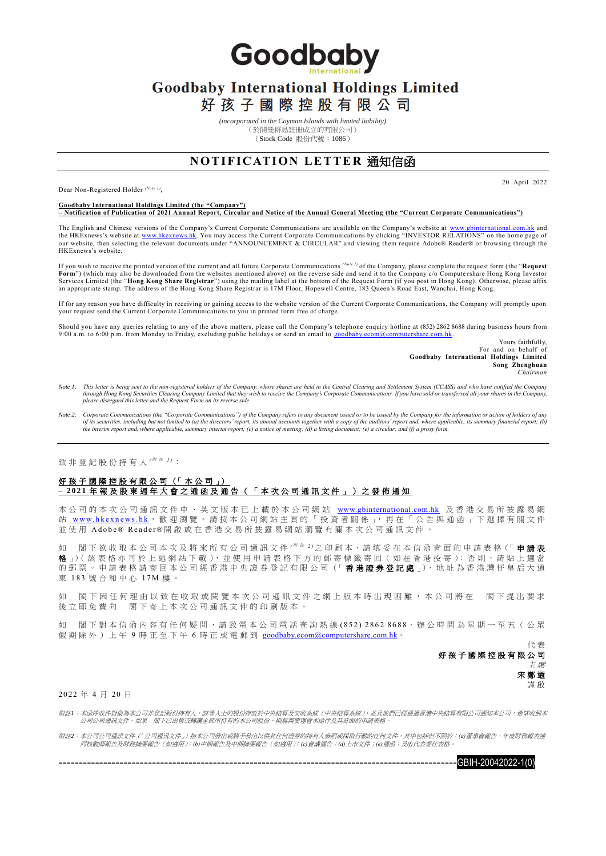Goodbaby

## **Goodbaby International Holdings Limited**

好孩子國際控股有限公司

*(incorporated in the Cayman Islands with limited liability)*

(於開曼群島註冊成立的有限公司) (Stock Code 股份代號:1086)

## **N OT IF IC ATI ON LET TE R** 通知信函

Dear Non-Registered Holder *(Note 1)* ,

20 April 2022

## **Goodbaby International Holdings Limited (the "Company") – Notification of Publication of 2021 Annual Report, Circular and Notice of the Annual General Meeting (the "Current Corporate Communications")**

The English and Chinese versions of the Company's Current Corporate Communications are available on the Company's website at [www.gbinternational.com.hk](http://www.gbinternational.com.hk/) and the HKExnews's website at <u>www.hkexnews.hk</u>. You may access the Current Corporate Communications by clicking "INVESTOR RELATIONS" on the home page of<br>our website, then selecting the relevant documents under "ANNOUNCEMENT & HKExnews's website.

If you wish to receive the printed version of the current and all future Corporate Communications *(Note 2)* of the Company, please complete the request form (the "**Request Form**") (which may also be downloaded from the websites mentioned above) on the reverse side and send it to the Company c/o Compute rshare Hong Kong Investor Services Limited (the "**Hong Kong Share Registrar**") using the mailing label at the bottom of the Request Form (if you post in Hong Kong). Otherwise, please affix an appropriate stamp. The address of the Hong Kong Share Registrar is 17M Floor, Hopewell Centre, 183 Queen's Road East, Wanchai, Hong Kong.

If for any reason you have difficulty in receiving or gaining access to the website version of the Current Corporate Communications, the Company will promptly upon your request send the Current Corporate Communications to you in printed form free of charge.

Should you have any queries relating to any of the above matters, please call the Company's telephone enquiry hotline at (852) 2862 8688 during business hours from 9:00 a.m. to 6:00 p.m. from Monday to Friday, excluding public holidays or send an email to [goodbaby.ecom@computershare.com.hk.](mailto:goodbaby.ecom@computershare.com.hk)

Yours faithfully, For and on behalf of **Goodbaby International Holdings Limited Song Zhenghuan** *Chairman*

- *Note 1: This letter is being sent to the non-registered holders of the Company, whose shares are held in the Central Clearing and Settlement System (CCASS) and who have notified the Company through Hong Kong Securities Clearing Company Limited that they wish to receive the Company's Corporate Communications. If you have sold or transferred all your shares in the Company, please disregard this letter and the Request Form on its reverse side.*
- Note 2: Corporate Communications (the "Corporate Communications") of the Company refers to any document issued or to be issued by the Company for the information or action of holders of any<br>of its escurities, including but

致 非 登 記 股 份 持 有 人 *(* <sup>附</sup> <sup>註</sup> *1 )*:

## 好孩子國際控股有限公司 (「本公司」) **– 2 0 2 1** 年 報 及 股 東 週 年 大 會 之 通 函 及 通 告 ( 「 本 次 公 司 通 訊 文 件 」 ) 之 發 佈 通 知

本 公 司 的 本 次 公 司 通 訊 文 件 中 、 英 文 版 本 已 上 載 於 本 公 司 網 站 [www.gbinternational.com.hk](http://www.gbinternational.com.hk/) 及 香 港 交 易 所 披 露 易 網 站 www.hkexnews.hk, 歡 迎 瀏 覽 。 請 按 本 公 司 網 站 主 頁 的 「 投 資 者 關 係 」, 再 在 「 公 告 與 通 函 」 下 選 擇 有 關 文 件 並使用 Adobe® Reader®開啟或在香港交易所披露易網站瀏覽有關本次公司通訊文件。

閣下 欲 收 取 本 公 司 本 次 及 將 來 所 有 公 司 通 訊 文 件 <sup>( # # 2)</sup>之 印 刷 本 , 請 填 妥 在 本 信 函 背 面 的 申 請 表 格 ( 「 **申 請 表** 格 」)( 該 表 格 亦 可 於 上 述 網 站 下 載 ), 並 使 用 申 請 表 格 下 方 的 郵 寄 標 籤 寄 回 ( 如 在 香 港 投 寄 ); 否 則 , 請 貼 上 適 當 的郵票。申請表格請寄回本公司經香港中央證券登記有限公司(「香港證券登記處」),地址為香港灣仔皇后大道 東 183 號合和中心 17M 樓。

如 閣 下 因 任 何 理 由 以 致 在 收 取 或 閱 覽 本 次 公 司 通 訊 文 件 之 網 上 版 本 時 出 現 困 難 , 本 公 司 將 在 一 閣 下 提 出 要 求 後立即免費向 閣下寄上本次公司通訊文件的印刷版本。

如 閣 下 對 本 信 函 內 容 有 任 何 疑 問 , 請 致 電 本 公 司 電 話 查 詢 熱 線 ( 8 5 2 ) 2 8 6 2 8 6 8 8, 辦 公 時 間 為 星 期 一 至 五 ( 公 眾 假 期 除 外 ) 上 午 9 時 正 至 下 午 6 時 正 或 電 郵 到 [goodbaby.ecom@computershare.com.hk](mailto:goodbaby.ecom@computershare.com.hk)。

> 代 表 好孩子國際控股有限公司 主 席 宋鄭還 謹 啟

2 0 22 年 4 月 20 日

附註*1*:本函件收件對象為本公司非登記股份持有人。該等人士的股份存放於中央結算及交收系統(中央結算系統),並且他們已經通過香港中央結算有限公司通知本公司,希望收到本 公司公司通訊文件。如果 閣下已出售或轉讓全部所持有的本公司股份,則無需要理會本函件及其背面的申請表格。

附註*2*:本公司公司通訊文件(「公司通訊文件」)指本公司發出或將予發出以供其任何證券的持有人參照或採取行動的任何文件,其中包括但不限於:*(a)*董事會報告、年度財務報表連 同核數師報告及財務摘要報告(如適用);*(b)*中期報告及中期摘要報告(如適用);*(c)*會議通告;*(d)*上市文件;*(e)*通函;及*(f)*代表委任表格。

 $-$ GBIH-20042022-1(0)